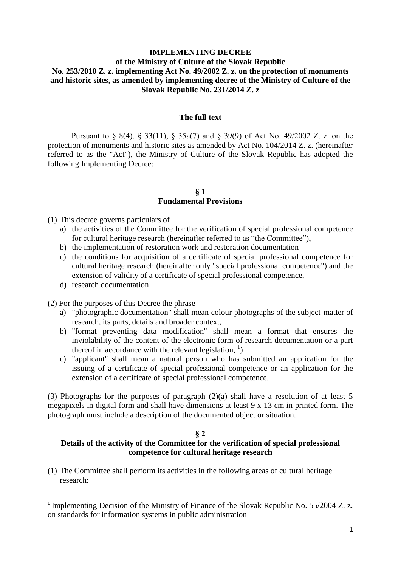# **IMPLEMENTING DECREE of the Ministry of Culture of the Slovak Republic No. 253/2010 Z. z. implementing Act No. 49/2002 Z. z. on the protection of monuments and historic sites, as amended by implementing decree of the Ministry of Culture of the Slovak Republic No. 231/2014 Z. z**

## **The full text**

Pursuant to § 8(4), § 33(11), § 35a(7) and § 39(9) of Act No. 49/2002 Z. z. on the protection of monuments and historic sites as amended by Act No. 104/2014 Z. z. (hereinafter referred to as the "Act"), the Ministry of Culture of the Slovak Republic has adopted the following Implementing Decree:

#### **§ 1 Fundamental Provisions**

(1) This decree governs particulars of

- a) the activities of the Committee for the verification of special professional competence for cultural heritage research (hereinafter referred to as "the Committee"),
- b) the implementation of restoration work and restoration documentation
- c) the conditions for acquisition of a certificate of special professional competence for cultural heritage research (hereinafter only "special professional competence") and the extension of validity of a certificate of special professional competence,
- d) research documentation

**.** 

(2) For the purposes of this Decree the phrase

- a) "photographic documentation" shall mean colour photographs of the subject-matter of research, its parts, details and broader context,
- b) "format preventing data modification" shall mean a format that ensures the inviolability of the content of the electronic form of research documentation or a part thereof in accordance with the relevant legislation,  $\frac{1}{1}$ )
- c) "applicant" shall mean a natural person who has submitted an application for the issuing of a certificate of special professional competence or an application for the extension of a certificate of special professional competence.

(3) Photographs for the purposes of paragraph (2)(a) shall have a resolution of at least 5 megapixels in digital form and shall have dimensions at least 9 x 13 cm in printed form. The photograph must include a description of the documented object or situation.

#### **§ 2**

## **Details of the activity of the Committee for the verification of special professional competence for cultural heritage research**

(1) The Committee shall perform its activities in the following areas of cultural heritage research:

<sup>&</sup>lt;sup>1</sup> Implementing Decision of the Ministry of Finance of the Slovak Republic No. 55/2004 Z. z. on standards for information systems in public administration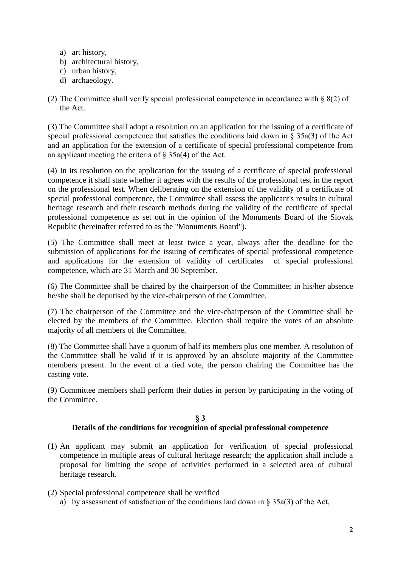- a) art history,
- b) architectural history,
- c) urban history,
- d) archaeology.
- (2) The Committee shall verify special professional competence in accordance with § 8(2) of the Act.

(3) The Committee shall adopt a resolution on an application for the issuing of a certificate of special professional competence that satisfies the conditions laid down in § 35a(3) of the Act and an application for the extension of a certificate of special professional competence from an applicant meeting the criteria of  $\S$  35a(4) of the Act.

(4) In its resolution on the application for the issuing of a certificate of special professional competence it shall state whether it agrees with the results of the professional test in the report on the professional test. When deliberating on the extension of the validity of a certificate of special professional competence, the Committee shall assess the applicant's results in cultural heritage research and their research methods during the validity of the certificate of special professional competence as set out in the opinion of the Monuments Board of the Slovak Republic (hereinafter referred to as the "Monuments Board").

(5) The Committee shall meet at least twice a year, always after the deadline for the submission of applications for the issuing of certificates of special professional competence and applications for the extension of validity of certificates of special professional competence, which are 31 March and 30 September.

(6) The Committee shall be chaired by the chairperson of the Committee; in his/her absence he/she shall be deputised by the vice-chairperson of the Committee.

(7) The chairperson of the Committee and the vice-chairperson of the Committee shall be elected by the members of the Committee. Election shall require the votes of an absolute majority of all members of the Committee.

(8) The Committee shall have a quorum of half its members plus one member. A resolution of the Committee shall be valid if it is approved by an absolute majority of the Committee members present. In the event of a tied vote, the person chairing the Committee has the casting vote.

(9) Committee members shall perform their duties in person by participating in the voting of the Committee.

#### **§ 3 Details of the conditions for recognition of special professional competence**

- (1) An applicant may submit an application for verification of special professional competence in multiple areas of cultural heritage research; the application shall include a proposal for limiting the scope of activities performed in a selected area of cultural heritage research.
- (2) Special professional competence shall be verified a) by assessment of satisfaction of the conditions laid down in  $\S$  35a(3) of the Act,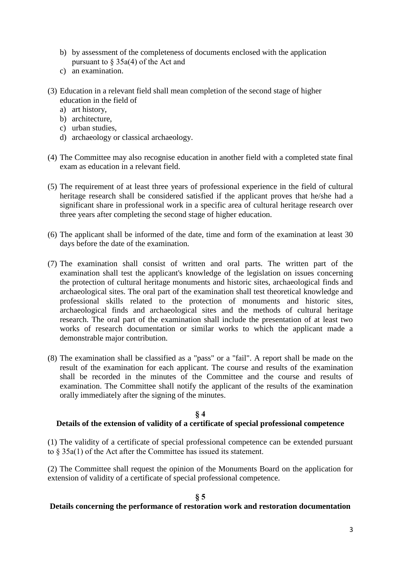- b) by assessment of the completeness of documents enclosed with the application pursuant to § 35a(4) of the Act and
- c) an examination.
- (3) Education in a relevant field shall mean completion of the second stage of higher education in the field of
	- a) art history,
	- b) architecture,
	- c) urban studies,
	- d) archaeology or classical archaeology.
- (4) The Committee may also recognise education in another field with a completed state final exam as education in a relevant field.
- (5) The requirement of at least three years of professional experience in the field of cultural heritage research shall be considered satisfied if the applicant proves that he/she had a significant share in professional work in a specific area of cultural heritage research over three years after completing the second stage of higher education.
- (6) The applicant shall be informed of the date, time and form of the examination at least 30 days before the date of the examination.
- (7) The examination shall consist of written and oral parts. The written part of the examination shall test the applicant's knowledge of the legislation on issues concerning the protection of cultural heritage monuments and historic sites, archaeological finds and archaeological sites. The oral part of the examination shall test theoretical knowledge and professional skills related to the protection of monuments and historic sites, archaeological finds and archaeological sites and the methods of cultural heritage research. The oral part of the examination shall include the presentation of at least two works of research documentation or similar works to which the applicant made a demonstrable major contribution.
- (8) The examination shall be classified as a "pass" or a "fail". A report shall be made on the result of the examination for each applicant. The course and results of the examination shall be recorded in the minutes of the Committee and the course and results of examination. The Committee shall notify the applicant of the results of the examination orally immediately after the signing of the minutes.

## **§ 4**

# **Details of the extension of validity of a certificate of special professional competence**

(1) The validity of a certificate of special professional competence can be extended pursuant to § 35a(1) of the Act after the Committee has issued its statement.

(2) The Committee shall request the opinion of the Monuments Board on the application for extension of validity of a certificate of special professional competence.

## **§ 5**

## **Details concerning the performance of restoration work and restoration documentation**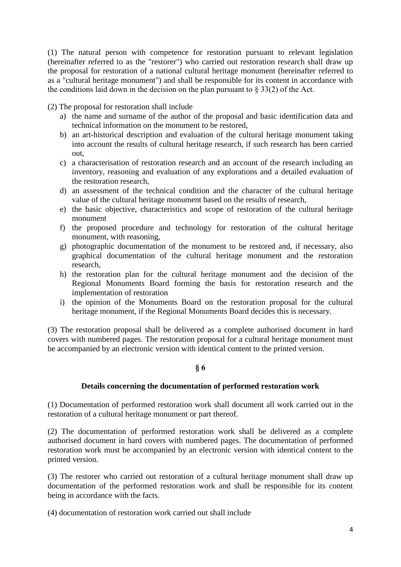(1) The natural person with competence for restoration pursuant to relevant legislation (hereinafter referred to as the "restorer") who carried out restoration research shall draw up the proposal for restoration of a national cultural heritage monument (hereinafter referred to as a "cultural heritage monument") and shall be responsible for its content in accordance with the conditions laid down in the decision on the plan pursuant to  $\S 33(2)$  of the Act.

(2) The proposal for restoration shall include

- a) the name and surname of the author of the proposal and basic identification data and technical information on the monument to be restored,
- b) an art-historical description and evaluation of the cultural heritage monument taking into account the results of cultural heritage research, if such research has been carried out,
- c) a characterisation of restoration research and an account of the research including an inventory, reasoning and evaluation of any explorations and a detailed evaluation of the restoration research,
- d) an assessment of the technical condition and the character of the cultural heritage value of the cultural heritage monument based on the results of research,
- e) the basic objective, characteristics and scope of restoration of the cultural heritage monument
- f) the proposed procedure and technology for restoration of the cultural heritage monument, with reasoning,
- g) photographic documentation of the monument to be restored and, if necessary, also graphical documentation of the cultural heritage monument and the restoration research,
- h) the restoration plan for the cultural heritage monument and the decision of the Regional Monuments Board forming the basis for restoration research and the implementation of restoration
- i) the opinion of the Monuments Board on the restoration proposal for the cultural heritage monument, if the Regional Monuments Board decides this is necessary.

(3) The restoration proposal shall be delivered as a complete authorised document in hard covers with numbered pages. The restoration proposal for a cultural heritage monument must be accompanied by an electronic version with identical content to the printed version.

## **§ 6**

## **Details concerning the documentation of performed restoration work**

(1) Documentation of performed restoration work shall document all work carried out in the restoration of a cultural heritage monument or part thereof.

(2) The documentation of performed restoration work shall be delivered as a complete authorised document in hard covers with numbered pages. The documentation of performed restoration work must be accompanied by an electronic version with identical content to the printed version.

(3) The restorer who carried out restoration of a cultural heritage monument shall draw up documentation of the performed restoration work and shall be responsible for its content being in accordance with the facts.

(4) documentation of restoration work carried out shall include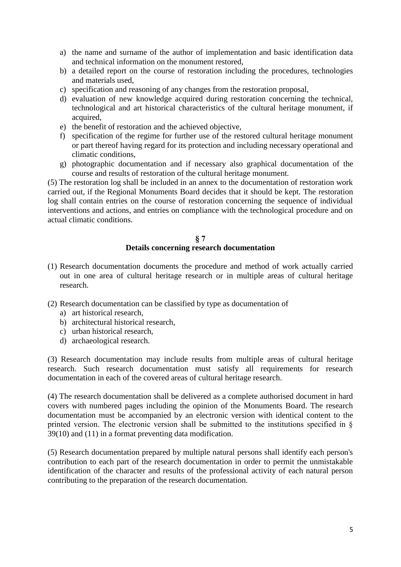- a) the name and surname of the author of implementation and basic identification data and technical information on the monument restored,
- b) a detailed report on the course of restoration including the procedures, technologies and materials used,
- c) specification and reasoning of any changes from the restoration proposal,
- d) evaluation of new knowledge acquired during restoration concerning the technical, technological and art historical characteristics of the cultural heritage monument, if acquired,
- e) the benefit of restoration and the achieved objective,
- f) specification of the regime for further use of the restored cultural heritage monument or part thereof having regard for its protection and including necessary operational and climatic conditions,
- g) photographic documentation and if necessary also graphical documentation of the course and results of restoration of the cultural heritage monument.

(5) The restoration log shall be included in an annex to the documentation of restoration work carried out, if the Regional Monuments Board decides that it should be kept. The restoration log shall contain entries on the course of restoration concerning the sequence of individual interventions and actions, and entries on compliance with the technological procedure and on actual climatic conditions.

#### **§ 7 Details concerning research documentation**

- (1) Research documentation documents the procedure and method of work actually carried out in one area of cultural heritage research or in multiple areas of cultural heritage research.
- (2) Research documentation can be classified by type as documentation of
	- a) art historical research,
	- b) architectural historical research,
	- c) urban historical research,
	- d) archaeological research.

(3) Research documentation may include results from multiple areas of cultural heritage research. Such research documentation must satisfy all requirements for research documentation in each of the covered areas of cultural heritage research.

(4) The research documentation shall be delivered as a complete authorised document in hard covers with numbered pages including the opinion of the Monuments Board. The research documentation must be accompanied by an electronic version with identical content to the printed version. The electronic version shall be submitted to the institutions specified in § 39(10) and (11) in a format preventing data modification.

(5) Research documentation prepared by multiple natural persons shall identify each person's contribution to each part of the research documentation in order to permit the unmistakable identification of the character and results of the professional activity of each natural person contributing to the preparation of the research documentation.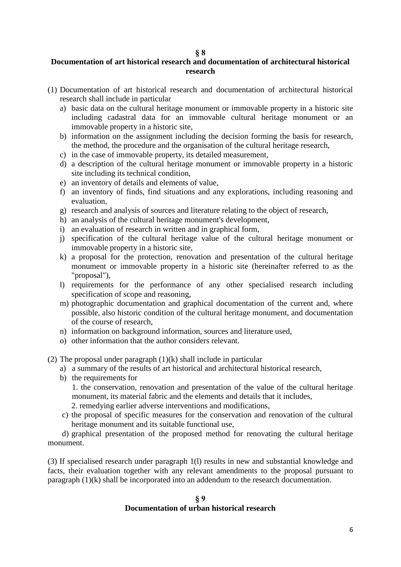#### **§ 8**

# **Documentation of art historical research and documentation of architectural historical research**

- (1) Documentation of art historical research and documentation of architectural historical research shall include in particular
	- a) basic data on the cultural heritage monument or immovable property in a historic site including cadastral data for an immovable cultural heritage monument or an immovable property in a historic site,
	- b) information on the assignment including the decision forming the basis for research, the method, the procedure and the organisation of the cultural heritage research,
	- c) in the case of immovable property, its detailed measurement,
	- d) a description of the cultural heritage monument or immovable property in a historic site including its technical condition,
	- e) an inventory of details and elements of value,
	- f) an inventory of finds, find situations and any explorations, including reasoning and evaluation,
	- g) research and analysis of sources and literature relating to the object of research,
	- h) an analysis of the cultural heritage monument's development,
	- i) an evaluation of research in written and in graphical form,
	- j) specification of the cultural heritage value of the cultural heritage monument or immovable property in a historic site,
	- k) a proposal for the protection, renovation and presentation of the cultural heritage monument or immovable property in a historic site (hereinafter referred to as the "proposal"),
	- l) requirements for the performance of any other specialised research including specification of scope and reasoning,
	- m) photographic documentation and graphical documentation of the current and, where possible, also historic condition of the cultural heritage monument, and documentation of the course of research,
	- n) information on background information, sources and literature used,
	- o) other information that the author considers relevant.

(2) The proposal under paragraph  $(1)(k)$  shall include in particular

- a) a summary of the results of art historical and architectural historical research,
- b) the requirements for

1. the conservation, renovation and presentation of the value of the cultural heritage monument, its material fabric and the elements and details that it includes,

- 2. remedying earlier adverse interventions and modifications,
- c) the proposal of specific measures for the conservation and renovation of the cultural heritage monument and its suitable functional use,

d) graphical presentation of the proposed method for renovating the cultural heritage monument.

(3) If specialised research under paragraph 1(l) results in new and substantial knowledge and facts, their evaluation together with any relevant amendments to the proposal pursuant to paragraph (1)(k) shall be incorporated into an addendum to the research documentation.

## **§ 9 Documentation of urban historical research**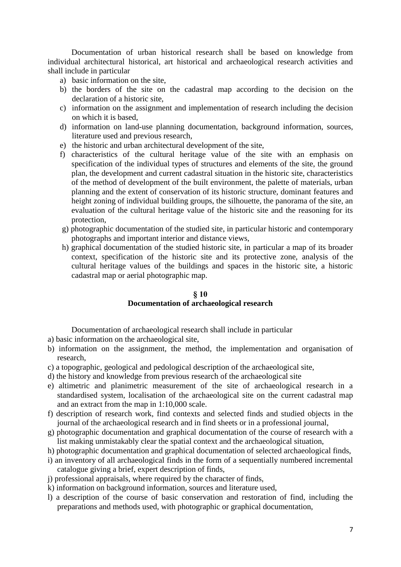Documentation of urban historical research shall be based on knowledge from individual architectural historical, art historical and archaeological research activities and shall include in particular

- a) basic information on the site,
- b) the borders of the site on the cadastral map according to the decision on the declaration of a historic site,
- c) information on the assignment and implementation of research including the decision on which it is based,
- d) information on land-use planning documentation, background information, sources, literature used and previous research,
- e) the historic and urban architectural development of the site,
- f) characteristics of the cultural heritage value of the site with an emphasis on specification of the individual types of structures and elements of the site, the ground plan, the development and current cadastral situation in the historic site, characteristics of the method of development of the built environment, the palette of materials, urban planning and the extent of conservation of its historic structure, dominant features and height zoning of individual building groups, the silhouette, the panorama of the site, an evaluation of the cultural heritage value of the historic site and the reasoning for its protection,
- g) photographic documentation of the studied site, in particular historic and contemporary photographs and important interior and distance views,
- h) graphical documentation of the studied historic site, in particular a map of its broader context, specification of the historic site and its protective zone, analysis of the cultural heritage values of the buildings and spaces in the historic site, a historic cadastral map or aerial photographic map.

# **§ 10 Documentation of archaeological research**

Documentation of archaeological research shall include in particular

- a) basic information on the archaeological site,
- b) information on the assignment, the method, the implementation and organisation of research,
- c) a topographic, geological and pedological description of the archaeological site,
- d) the history and knowledge from previous research of the archaeological site
- e) altimetric and planimetric measurement of the site of archaeological research in a standardised system, localisation of the archaeological site on the current cadastral map and an extract from the map in 1:10,000 scale.
- f) description of research work, find contexts and selected finds and studied objects in the journal of the archaeological research and in find sheets or in a professional journal,
- g) photographic documentation and graphical documentation of the course of research with a list making unmistakably clear the spatial context and the archaeological situation,
- h) photographic documentation and graphical documentation of selected archaeological finds,
- i) an inventory of all archaeological finds in the form of a sequentially numbered incremental catalogue giving a brief, expert description of finds,
- j) professional appraisals, where required by the character of finds,
- k) information on background information, sources and literature used,
- l) a description of the course of basic conservation and restoration of find, including the preparations and methods used, with photographic or graphical documentation,